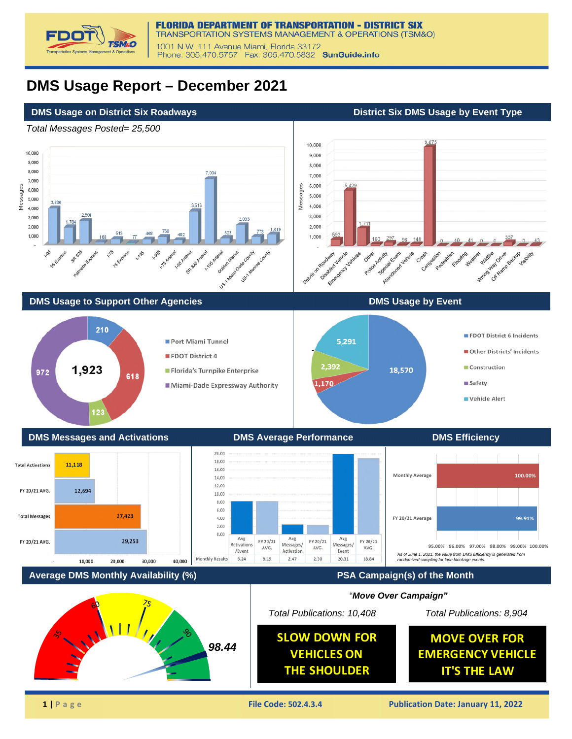

## **DMS Usage Report – December 2021**

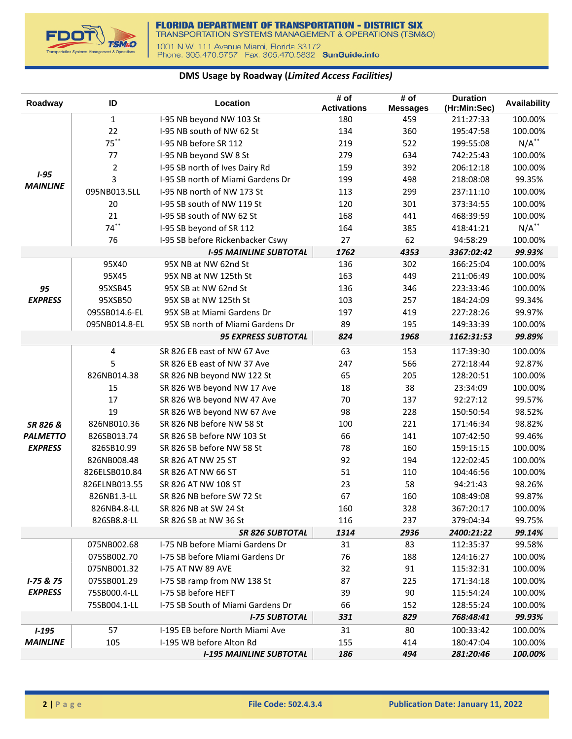

## **DMS Usage by Roadway (***Limited Access Facilities)*

| Roadway                      | ID             | Location                                                   | # of<br><b>Activations</b> | # of<br><b>Messages</b> | <b>Duration</b><br>(Hr:Min:Sec) | Availability       |
|------------------------------|----------------|------------------------------------------------------------|----------------------------|-------------------------|---------------------------------|--------------------|
|                              | $\mathbf{1}$   | I-95 NB beyond NW 103 St                                   | 180                        | 459                     | 211:27:33                       | 100.00%            |
|                              | 22             | I-95 NB south of NW 62 St                                  | 134                        | 360                     | 195:47:58                       | 100.00%            |
|                              | $75***$        | I-95 NB before SR 112                                      | 219                        | 522                     | 199:55:08                       | $N/A^*$            |
|                              | 77             | I-95 NB beyond SW 8 St                                     | 279                        | 634                     | 742:25:43                       | 100.00%            |
|                              | $\overline{2}$ | I-95 SB north of Ives Dairy Rd                             | 159                        | 392                     | 206:12:18                       | 100.00%            |
| $1 - 95$                     | 3              | I-95 SB north of Miami Gardens Dr                          | 199                        | 498                     | 218:08:08                       | 99.35%             |
| <b>MAINLINE</b>              | 095NB013.5LL   | I-95 NB north of NW 173 St                                 | 113                        | 299                     | 237:11:10                       | 100.00%            |
|                              | 20             | I-95 SB south of NW 119 St                                 | 120                        | 301                     | 373:34:55                       | 100.00%            |
|                              | 21             | I-95 SB south of NW 62 St                                  | 168                        | 441                     | 468:39:59                       | 100.00%            |
|                              | $74***$        | I-95 SB beyond of SR 112                                   | 164                        | 385                     | 418:41:21                       | $N/A$ **           |
|                              | 76             | I-95 SB before Rickenbacker Cswy                           | 27                         | 62                      | 94:58:29                        | 100.00%            |
|                              |                | <b>I-95 MAINLINE SUBTOTAL</b>                              | 1762                       | 4353                    | 3367:02:42                      | 99.93%             |
|                              | 95X40          | 95X NB at NW 62nd St                                       | 136                        | 302                     | 166:25:04                       | 100.00%            |
|                              | 95X45          | 95X NB at NW 125th St                                      | 163                        | 449                     | 211:06:49                       | 100.00%            |
| 95                           | 95XSB45        | 95X SB at NW 62nd St                                       | 136                        | 346                     | 223:33:46                       | 100.00%            |
| <b>EXPRESS</b>               | 95XSB50        | 95X SB at NW 125th St                                      | 103                        | 257                     | 184:24:09                       | 99.34%             |
|                              | 095SB014.6-EL  | 95X SB at Miami Gardens Dr                                 | 197                        | 419                     | 227:28:26                       | 99.97%             |
|                              | 095NB014.8-EL  | 95X SB north of Miami Gardens Dr                           | 89                         | 195                     | 149:33:39                       | 100.00%            |
|                              |                | <b>95 EXPRESS SUBTOTAL</b>                                 | 824                        | 1968                    | 1162:31:53                      | 99.89%             |
|                              | $\overline{4}$ | SR 826 EB east of NW 67 Ave                                | 63                         | 153                     | 117:39:30                       | 100.00%            |
|                              | 5              | SR 826 EB east of NW 37 Ave                                | 247                        | 566                     | 272:18:44                       | 92.87%             |
|                              | 826NB014.38    | SR 826 NB beyond NW 122 St                                 | 65                         | 205                     | 128:20:51                       | 100.00%            |
|                              | 15             | SR 826 WB beyond NW 17 Ave                                 | 18                         | 38                      | 23:34:09                        | 100.00%            |
|                              | 17             | SR 826 WB beyond NW 47 Ave                                 | 70                         | 137                     | 92:27:12                        | 99.57%             |
|                              | 19             | SR 826 WB beyond NW 67 Ave                                 | 98                         | 228                     | 150:50:54                       | 98.52%             |
| SR 826 &                     | 826NB010.36    | SR 826 NB before NW 58 St                                  | 100                        | 221                     | 171:46:34                       | 98.82%             |
| <b>PALMETTO</b>              | 826SB013.74    | SR 826 SB before NW 103 St                                 | 66                         | 141                     | 107:42:50                       | 99.46%             |
| <b>EXPRESS</b>               | 826SB10.99     | SR 826 SB before NW 58 St                                  | 78                         | 160                     | 159:15:15                       | 100.00%            |
|                              | 826NB008.48    | SR 826 AT NW 25 ST                                         | 92                         | 194                     | 122:02:45                       | 100.00%            |
|                              | 826ELSB010.84  | SR 826 AT NW 66 ST                                         | 51                         | 110                     | 104:46:56                       | 100.00%            |
|                              | 826ELNB013.55  | SR 826 AT NW 108 ST                                        | 23                         | 58                      | 94:21:43                        | 98.26%             |
|                              | 826NB1.3-LL    | SR 826 NB before SW 72 St                                  | 67                         | 160                     | 108:49:08                       | 99.87%             |
|                              | 826NB4.8-LL    | SR 826 NB at SW 24 St                                      | 160                        | 328                     | 367:20:17                       | 100.00%            |
|                              | 826SB8.8-LL    | SR 826 SB at NW 36 St                                      | 116                        | 237                     | 379:04:34                       | 99.75%             |
|                              |                | <b>SR 826 SUBTOTAL</b>                                     | 1314                       | 2936                    | 2400:21:22                      | 99.14%             |
|                              | 075NB002.68    | I-75 NB before Miami Gardens Dr                            | 31                         | 83                      | 112:35:37                       | 99.58%             |
|                              | 075SB002.70    | I-75 SB before Miami Gardens Dr                            | 76                         | 188                     | 124:16:27                       | 100.00%            |
|                              | 075NB001.32    | <b>I-75 AT NW 89 AVE</b>                                   | 32                         | 91                      | 115:32:31                       | 100.00%            |
| $1 - 75 & 75$                | 075SB001.29    | I-75 SB ramp from NW 138 St                                | 87                         | 225                     | 171:34:18                       | 100.00%            |
| <b>EXPRESS</b>               | 75SB000.4-LL   | I-75 SB before HEFT                                        | 39                         | 90                      | 115:54:24                       | 100.00%            |
|                              | 75SB004.1-LL   | I-75 SB South of Miami Gardens Dr                          | 66                         | 152                     | 128:55:24                       | 100.00%            |
|                              |                | <b>I-75 SUBTOTAL</b>                                       | 331                        | 829                     | 768:48:41                       | 99.93%             |
| $1 - 195$<br><b>MAINLINE</b> | 57             | I-195 EB before North Miami Ave                            | 31                         | 80                      | 100:33:42                       | 100.00%            |
|                              | 105            | I-195 WB before Alton Rd<br><b>I-195 MAINLINE SUBTOTAL</b> | 155<br>186                 | 414<br>494              | 180:47:04<br>281:20:46          | 100.00%<br>100.00% |
|                              |                |                                                            |                            |                         |                                 |                    |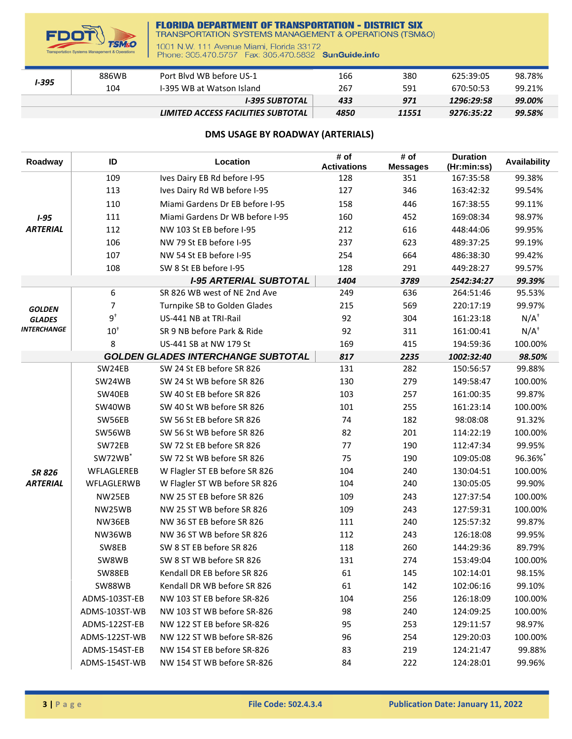

## **FLORIDA DEPARTMENT OF TRANSPORTATION - DISTRICT SIX**<br>TRANSPORTATION SYSTEMS MANAGEMENT & OPERATIONS (TSM&O)

1001 N.W. 111 Avenue Miami, Florida 33172<br>Phone: 305.470.5757 Fax: 305.470.5832 SunGuide.info

| I-395 | 886WB | Port Blyd WB before US-1           | 166  | 380   | 625:39:05  | 98.78% |
|-------|-------|------------------------------------|------|-------|------------|--------|
|       | 104   | I-395 WB at Watson Island          | 267  | 591   | 670:50:53  | 99.21% |
|       |       | I-395 SUBTOTAL                     | 433  | 971   | 1296:29:58 | 99.00% |
|       |       | LIMITED ACCESS FACILITIES SUBTOTAL | 4850 | 11551 | 9276:35:22 | 99.58% |

## **DMS USAGE BY ROADWAY (ARTERIALS)**

| Roadway            | ID                  | Location                                  | # of<br><b>Activations</b> | # of<br><b>Messages</b> | <b>Duration</b><br>(Hr:min:ss) | Availability    |
|--------------------|---------------------|-------------------------------------------|----------------------------|-------------------------|--------------------------------|-----------------|
|                    | 109                 | Ives Dairy EB Rd before I-95              | 128                        | 351                     | 167:35:58                      | 99.38%          |
|                    | 113                 | Ives Dairy Rd WB before I-95              | 127                        | 346                     | 163:42:32                      | 99.54%          |
|                    | 110                 | Miami Gardens Dr EB before I-95           | 158                        | 446                     | 167:38:55                      | 99.11%          |
| $1 - 95$           | 111                 | Miami Gardens Dr WB before I-95           | 160                        | 452                     | 169:08:34                      | 98.97%          |
| <b>ARTERIAL</b>    | 112                 | NW 103 St EB before I-95                  | 212                        | 616                     | 448:44:06                      | 99.95%          |
|                    | 106                 | NW 79 St EB before I-95                   | 237                        | 623                     | 489:37:25                      | 99.19%          |
|                    | 107                 | NW 54 St EB before I-95                   | 254                        | 664                     | 486:38:30                      | 99.42%          |
|                    | 108                 | SW 8 St EB before I-95                    | 128                        | 291                     | 449:28:27                      | 99.57%          |
|                    |                     | <b>I-95 ARTERIAL SUBTOTAL</b>             | 1404                       | 3789                    | 2542:34:27                     | 99.39%          |
|                    | 6                   | SR 826 WB west of NE 2nd Ave              | 249                        | 636                     | 264:51:46                      | 95.53%          |
| <b>GOLDEN</b>      | 7                   | Turnpike SB to Golden Glades              | 215                        | 569                     | 220:17:19                      | 99.97%          |
| <b>GLADES</b>      | $9^{\dagger}$       | US-441 NB at TRI-Rail                     | 92                         | 304                     | 161:23:18                      | $N/A^{\dagger}$ |
| <b>INTERCHANGE</b> | $10^+$              | SR 9 NB before Park & Ride                | 92                         | 311                     | 161:00:41                      | $N/A^{\dagger}$ |
|                    | 8                   | US-441 SB at NW 179 St                    | 169                        | 415                     | 194:59:36                      | 100.00%         |
|                    |                     | <b>GOLDEN GLADES INTERCHANGE SUBTOTAL</b> | 817                        | 2235                    | 1002:32:40                     | 98.50%          |
|                    | SW24EB              | SW 24 St EB before SR 826                 | 131                        | 282                     | 150:56:57                      | 99.88%          |
|                    | SW24WB              | SW 24 St WB before SR 826                 | 130                        | 279                     | 149:58:47                      | 100.00%         |
|                    | SW40EB              | SW 40 St EB before SR 826                 | 103                        | 257                     | 161:00:35                      | 99.87%          |
|                    | SW40WB              | SW 40 St WB before SR 826                 | 101                        | 255                     | 161:23:14                      | 100.00%         |
|                    | SW56EB              | SW 56 St EB before SR 826                 | 74                         | 182                     | 98:08:08                       | 91.32%          |
|                    | SW56WB              | SW 56 St WB before SR 826                 | 82                         | 201                     | 114:22:19                      | 100.00%         |
|                    | SW72EB              | SW 72 St EB before SR 826                 | 77                         | 190                     | 112:47:34                      | 99.95%          |
|                    | SW72WB <sup>*</sup> | SW 72 St WB before SR 826                 | 75                         | 190                     | 109:05:08                      | 96.36%*         |
| <b>SR 826</b>      | WFLAGLEREB          | W Flagler ST EB before SR 826             | 104                        | 240                     | 130:04:51                      | 100.00%         |
| <b>ARTERIAL</b>    | WFLAGLERWB          | W Flagler ST WB before SR 826             | 104                        | 240                     | 130:05:05                      | 99.90%          |
|                    | NW25EB              | NW 25 ST EB before SR 826                 | 109                        | 243                     | 127:37:54                      | 100.00%         |
|                    | NW25WB              | NW 25 ST WB before SR 826                 | 109                        | 243                     | 127:59:31                      | 100.00%         |
|                    | NW36EB              | NW 36 ST EB before SR 826                 | 111                        | 240                     | 125:57:32                      | 99.87%          |
|                    | NW36WB              | NW 36 ST WB before SR 826                 | 112                        | 243                     | 126:18:08                      | 99.95%          |
|                    | SW8EB               | SW 8 ST EB before SR 826                  | 118                        | 260                     | 144:29:36                      | 89.79%          |
|                    | SW8WB               | SW 8 ST WB before SR 826                  | 131                        | 274                     | 153:49:04                      | 100.00%         |
|                    | SW88EB              | Kendall DR EB before SR 826               | 61                         | 145                     | 102:14:01                      | 98.15%          |
|                    | SW88WB              | Kendall DR WB before SR 826               | 61                         | 142                     | 102:06:16                      | 99.10%          |
|                    | ADMS-103ST-EB       | NW 103 ST EB before SR-826                | 104                        | 256                     | 126:18:09                      | 100.00%         |
|                    | ADMS-103ST-WB       | NW 103 ST WB before SR-826                | 98                         | 240                     | 124:09:25                      | 100.00%         |
|                    | ADMS-122ST-EB       | NW 122 ST EB before SR-826                | 95                         | 253                     | 129:11:57                      | 98.97%          |
|                    | ADMS-122ST-WB       | NW 122 ST WB before SR-826                | 96                         | 254                     | 129:20:03                      | 100.00%         |
|                    | ADMS-154ST-EB       | NW 154 ST EB before SR-826                | 83                         | 219                     | 124:21:47                      | 99.88%          |
|                    | ADMS-154ST-WB       | NW 154 ST WB before SR-826                | 84                         | 222                     | 124:28:01                      | 99.96%          |